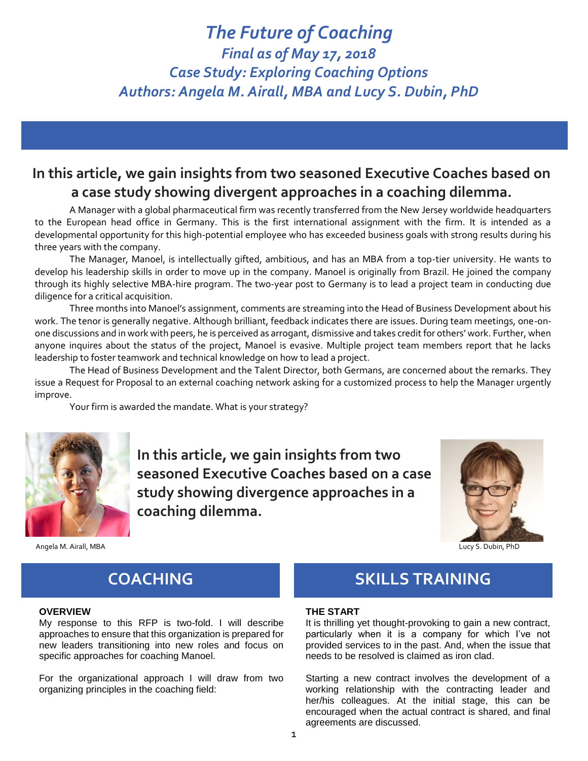## *The Future of Coaching Final as of May 17, 2018 Case Study: Exploring Coaching Options Authors: Angela M. Airall, MBA and Lucy S. Dubin, PhD*

## **In this article, we gain insights from two seasoned Executive Coaches based on a case study showing divergent approaches in a coaching dilemma.**

A Manager with a global pharmaceutical firm was recently transferred from the New Jersey worldwide headquarters to the European head office in Germany. This is the first international assignment with the firm. It is intended as a developmental opportunity for this high-potential employee who has exceeded business goals with strong results during his three years with the company.

The Manager, Manoel, is intellectually gifted, ambitious, and has an MBA from a top-tier university. He wants to develop his leadership skills in order to move up in the company. Manoel is originally from Brazil. He joined the company through its highly selective MBA-hire program. The two-year post to Germany is to lead a project team in conducting due diligence for a critical acquisition.

Three months into Manoel's assignment, comments are streaming into the Head of Business Development about his work. The tenor is generally negative. Although brilliant, feedback indicates there are issues. During team meetings, one-onone discussions and in work with peers, he is perceived as arrogant, dismissive and takes credit for others' work. Further, when anyone inquires about the status of the project, Manoel is evasive. Multiple project team members report that he lacks leadership to foster teamwork and technical knowledge on how to lead a project.

The Head of Business Development and the Talent Director, both Germans, are concerned about the remarks. They issue a Request for Proposal to an external coaching network asking for a customized process to help the Manager urgently improve.

Your firm is awarded the mandate. What is your strategy?



**In this article, we gain insights from two seasoned Executive Coaches based on a case study showing divergence approaches in a coaching dilemma.**



Angela M. Airall, MBA Lucy S. Dubin, PhD

#### **OVERVIEW**

My response to this RFP is two-fold. I will describe approaches to ensure that this organization is prepared for new leaders transitioning into new roles and focus on specific approaches for coaching Manoel.

For the organizational approach I will draw from two organizing principles in the coaching field:

## **COACHING SKILLS TRAINING**

#### **THE START**

It is thrilling yet thought-provoking to gain a new contract, particularly when it is a company for which I've not provided services to in the past. And, when the issue that needs to be resolved is claimed as iron clad.

Starting a new contract involves the development of a working relationship with the contracting leader and her/his colleagues. At the initial stage, this can be encouraged when the actual contract is shared, and final agreements are discussed.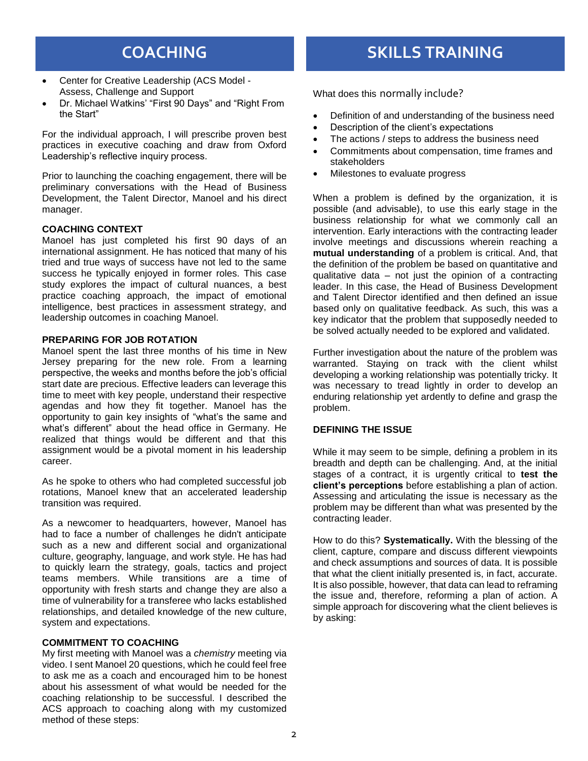- Center for Creative Leadership (ACS Model Assess, Challenge and Support
- Dr. Michael Watkins' "First 90 Days" and "Right From the Start"

For the individual approach, I will prescribe proven best practices in executive coaching and draw from Oxford Leadership's reflective inquiry process.

Prior to launching the coaching engagement, there will be preliminary conversations with the Head of Business Development, the Talent Director, Manoel and his direct manager.

#### **COACHING CONTEXT**

Manoel has just completed his first 90 days of an international assignment. He has noticed that many of his tried and true ways of success have not led to the same success he typically enjoyed in former roles. This case study explores the impact of cultural nuances, a best practice coaching approach, the impact of emotional intelligence, best practices in assessment strategy, and leadership outcomes in coaching Manoel.

#### **PREPARING FOR JOB ROTATION**

Manoel spent the last three months of his time in New Jersey preparing for the new role. From a learning perspective, the weeks and months before the job's official start date are precious. Effective leaders can leverage this time to meet with key people, understand their respective agendas and how they fit together. Manoel has the opportunity to gain key insights of "what's the same and what's different" about the head office in Germany. He realized that things would be different and that this assignment would be a pivotal moment in his leadership career.

As he spoke to others who had completed successful job rotations, Manoel knew that an accelerated leadership transition was required.

As a newcomer to headquarters, however, Manoel has had to face a number of challenges he didn't anticipate such as a new and different social and organizational culture, geography, language, and work style. He has had to quickly learn the strategy, goals, tactics and project teams members. While transitions are a time of opportunity with fresh starts and change they are also a time of vulnerability for a transferee who lacks established relationships, and detailed knowledge of the new culture, system and expectations.

#### **COMMITMENT TO COACHING**

My first meeting with Manoel was a *chemistry* meeting via video. I sent Manoel 20 questions, which he could feel free to ask me as a coach and encouraged him to be honest about his assessment of what would be needed for the coaching relationship to be successful. I described the ACS approach to coaching along with my customized method of these steps:

## **COACHING SKILLS TRAINING**

What does this normally include?

- Definition of and understanding of the business need
- Description of the client's expectations
- The actions / steps to address the business need
- Commitments about compensation, time frames and stakeholders
- Milestones to evaluate progress

When a problem is defined by the organization, it is possible (and advisable), to use this early stage in the business relationship for what we commonly call an intervention. Early interactions with the contracting leader involve meetings and discussions wherein reaching a **mutual understanding** of a problem is critical. And, that the definition of the problem be based on quantitative and qualitative data – not just the opinion of a contracting leader. In this case, the Head of Business Development and Talent Director identified and then defined an issue based only on qualitative feedback. As such, this was a key indicator that the problem that supposedly needed to be solved actually needed to be explored and validated.

Further investigation about the nature of the problem was warranted. Staying on track with the client whilst developing a working relationship was potentially tricky. It was necessary to tread lightly in order to develop an enduring relationship yet ardently to define and grasp the problem.

#### **DEFINING THE ISSUE**

While it may seem to be simple, defining a problem in its breadth and depth can be challenging. And, at the initial stages of a contract, it is urgently critical to **test the client's perceptions** before establishing a plan of action. Assessing and articulating the issue is necessary as the problem may be different than what was presented by the contracting leader.

How to do this? **Systematically.** With the blessing of the client, capture, compare and discuss different viewpoints and check assumptions and sources of data. It is possible that what the client initially presented is, in fact, accurate. It is also possible, however, that data can lead to reframing the issue and, therefore, reforming a plan of action. A simple approach for discovering what the client believes is by asking: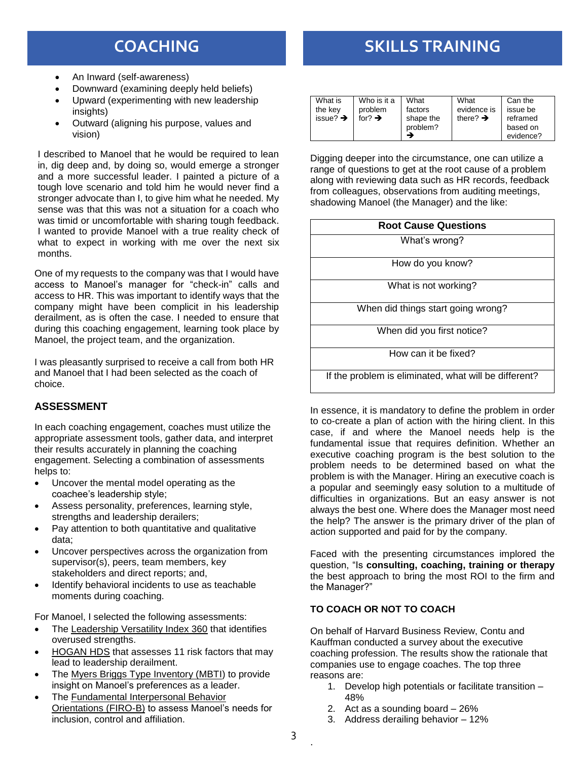- An Inward (self-awareness)
- Downward (examining deeply held beliefs)
- Upward (experimenting with new leadership insights)
- Outward (aligning his purpose, values and vision)

I described to Manoel that he would be required to lean in, dig deep and, by doing so, would emerge a stronger and a more successful leader. I painted a picture of a tough love scenario and told him he would never find a stronger advocate than I, to give him what he needed. My sense was that this was not a situation for a coach who was timid or uncomfortable with sharing tough feedback. I wanted to provide Manoel with a true reality check of what to expect in working with me over the next six months.

One of my requests to the company was that I would have access to Manoel's manager for "check-in" calls and access to HR. This was important to identify ways that the company might have been complicit in his leadership derailment, as is often the case. I needed to ensure that during this coaching engagement, learning took place by Manoel, the project team, and the organization.

I was pleasantly surprised to receive a call from both HR and Manoel that I had been selected as the coach of choice.

### **ASSESSMENT**

In each coaching engagement, coaches must utilize the appropriate assessment tools, gather data, and interpret their results accurately in planning the coaching engagement. Selecting a combination of assessments helps to:

- Uncover the mental model operating as the coachee's leadership style;
- Assess personality, preferences, learning style, strengths and leadership derailers;
- Pay attention to both quantitative and qualitative data;
- Uncover perspectives across the organization from supervisor(s), peers, team members, key stakeholders and direct reports; and,
- Identify behavioral incidents to use as teachable moments during coaching.

For Manoel, I selected the following assessments:

- The Leadership Versatility Index 360 that identifies overused strengths.
- HOGAN HDS that assesses 11 risk factors that may lead to leadership derailment.
- The Myers Briggs Type Inventory (MBTI) to provide insight on Manoel's preferences as a leader.
- The Fundamental Interpersonal Behavior Orientations (FIRO-B) to assess Manoel's needs for inclusion, control and affiliation.

## **COACHING SKILLS TRAINING**

| What is<br>the key<br>issue? $\rightarrow$ | Who is it a<br>problem<br>for $\rightarrow$ | What<br>factors<br>shape the | What<br>evidence is<br>there? $\rightarrow$ | Can the<br>issue be<br>reframed |
|--------------------------------------------|---------------------------------------------|------------------------------|---------------------------------------------|---------------------------------|
|                                            |                                             | problem?                     |                                             | based on                        |
|                                            |                                             |                              |                                             | evidence?                       |

Digging deeper into the circumstance, one can utilize a range of questions to get at the root cause of a problem along with reviewing data such as HR records, feedback from colleagues, observations from auditing meetings, shadowing Manoel (the Manager) and the like:

| <b>Root Cause Questions</b>                           |  |  |  |  |
|-------------------------------------------------------|--|--|--|--|
| What's wrong?                                         |  |  |  |  |
| How do you know?                                      |  |  |  |  |
| What is not working?                                  |  |  |  |  |
| When did things start going wrong?                    |  |  |  |  |
| When did you first notice?                            |  |  |  |  |
| How can it be fixed?                                  |  |  |  |  |
| If the problem is eliminated, what will be different? |  |  |  |  |

In essence, it is mandatory to define the problem in order to co-create a plan of action with the hiring client. In this case, if and where the Manoel needs help is the fundamental issue that requires definition. Whether an executive coaching program is the best solution to the problem needs to be determined based on what the problem is with the Manager. Hiring an executive coach is a popular and seemingly easy solution to a multitude of difficulties in organizations. But an easy answer is not always the best one. Where does the Manager most need the help? The answer is the primary driver of the plan of action supported and paid for by the company.

Faced with the presenting circumstances implored the question, "Is **consulting, coaching, training or therapy** the best approach to bring the most ROI to the firm and the Manager?"

### **TO COACH OR NOT TO COACH**

On behalf of Harvard Business Review, Contu and Kauffman conducted a survey about the executive coaching profession. The results show the rationale that companies use to engage coaches. The top three reasons are:

- 1. Develop high potentials or facilitate transition 48%
- 2. Act as a sounding board 26%
- 3. Address derailing behavior 12%

.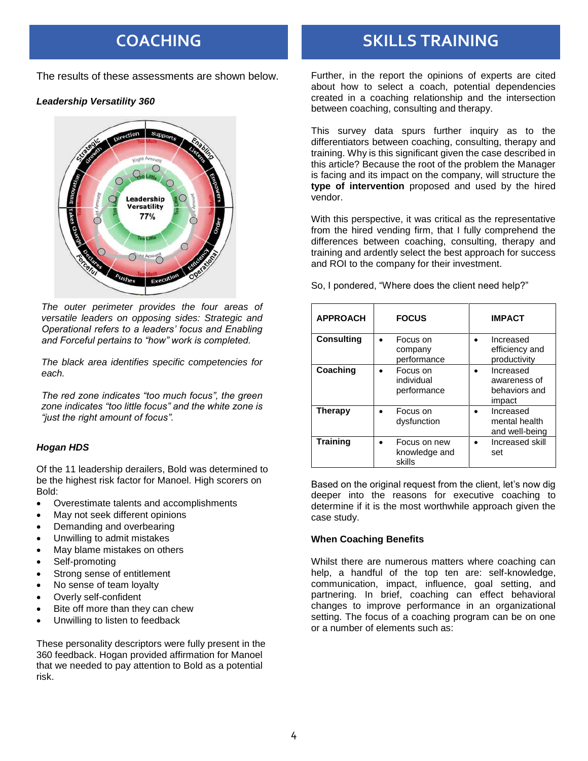The results of these assessments are shown below.

### *Leadership Versatility 360*



*The outer perimeter provides the four areas of versatile leaders on opposing sides: Strategic and Operational refers to a leaders' focus and Enabling and Forceful pertains to "how" work is completed.* 

*The black area identifies specific competencies for each.*

*The red zone indicates "too much focus", the green zone indicates "too little focus" and the white zone is "just the right amount of focus".*

### *Hogan HDS*

Of the 11 leadership derailers, Bold was determined to be the highest risk factor for Manoel. High scorers on Bold:

- Overestimate talents and accomplishments
- May not seek different opinions
- Demanding and overbearing
- Unwilling to admit mistakes
- May blame mistakes on others
- Self-promoting
- Strong sense of entitlement
- No sense of team loyalty
- Overly self-confident
- Bite off more than they can chew
- Unwilling to listen to feedback

These personality descriptors were fully present in the 360 feedback. Hogan provided affirmation for Manoel that we needed to pay attention to Bold as a potential risk.

## **COACHING SKILLS TRAINING**

Further, in the report the opinions of experts are cited about how to select a coach, potential dependencies created in a coaching relationship and the intersection between coaching, consulting and therapy.

This survey data spurs further inquiry as to the differentiators between coaching, consulting, therapy and training. Why is this significant given the case described in this article? Because the root of the problem the Manager is facing and its impact on the company, will structure the **type of intervention** proposed and used by the hired vendor.

With this perspective, it was critical as the representative from the hired vending firm, that I fully comprehend the differences between coaching, consulting, therapy and training and ardently select the best approach for success and ROI to the company for their investment.

So, I pondered, "Where does the client need help?"

| <b>APPROACH</b>   | <b>FOCUS</b>                            | <b>IMPACT</b>                                        |  |
|-------------------|-----------------------------------------|------------------------------------------------------|--|
| <b>Consulting</b> | Focus on<br>company<br>performance      | Increased<br>efficiency and<br>productivity          |  |
| Coaching          | Focus on<br>individual<br>performance   | Increased<br>awareness of<br>behaviors and<br>impact |  |
| <b>Therapy</b>    | Focus on<br>dysfunction                 | Increased<br>mental health<br>and well-being         |  |
| <b>Training</b>   | Focus on new<br>knowledge and<br>skills | Increased skill<br>set                               |  |

Based on the original request from the client, let's now dig deeper into the reasons for executive coaching to determine if it is the most worthwhile approach given the case study.

### **When Coaching Benefits**

Whilst there are numerous matters where coaching can help, a handful of the top ten are: self-knowledge, communication, impact, influence, goal setting, and partnering. In brief, coaching can effect behavioral changes to improve performance in an organizational setting. The focus of a coaching program can be on one or a number of elements such as: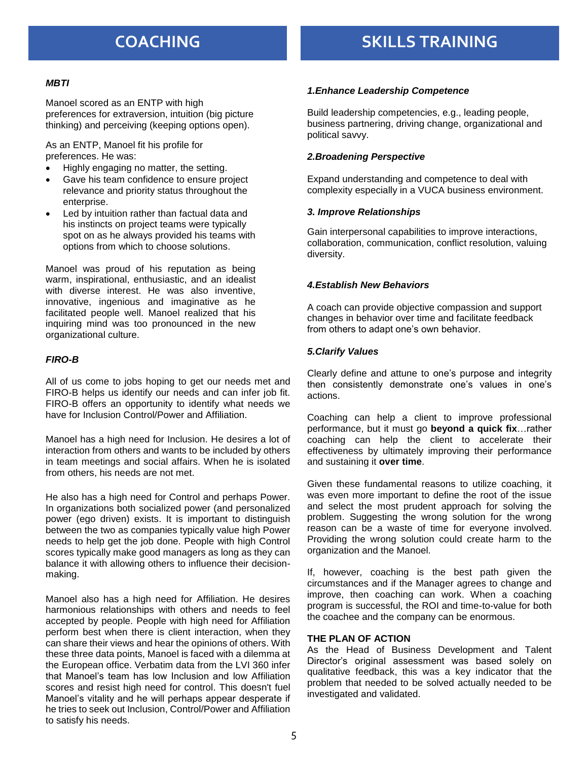## **COACHING SKILLS TRAINING**

#### *MBTI*

Manoel scored as an ENTP with high preferences for extraversion, intuition (big picture thinking) and perceiving (keeping options open).

As an ENTP, Manoel fit his profile for preferences. He was:

- Highly engaging no matter, the setting.
- Gave his team confidence to ensure project relevance and priority status throughout the enterprise.
- Led by intuition rather than factual data and his instincts on project teams were typically spot on as he always provided his teams with options from which to choose solutions.

Manoel was proud of his reputation as being warm, inspirational, enthusiastic, and an idealist with diverse interest. He was also inventive, innovative, ingenious and imaginative as he facilitated people well. Manoel realized that his inquiring mind was too pronounced in the new organizational culture.

### *FIRO-B*

All of us come to jobs hoping to get our needs met and FIRO-B helps us identify our needs and can infer job fit. FIRO-B offers an opportunity to identify what needs we have for Inclusion Control/Power and Affiliation.

Manoel has a high need for Inclusion. He desires a lot of interaction from others and wants to be included by others in team meetings and social affairs. When he is isolated from others, his needs are not met.

He also has a high need for Control and perhaps Power. In organizations both socialized power (and personalized power (ego driven) exists. It is important to distinguish between the two as companies typically value high Power needs to help get the job done. People with high Control scores typically make good managers as long as they can balance it with allowing others to influence their decisionmaking.

Manoel also has a high need for Affiliation. He desires harmonious relationships with others and needs to feel accepted by people. People with high need for Affiliation perform best when there is client interaction, when they can share their views and hear the opinions of others. With these three data points, Manoel is faced with a dilemma at the European office. Verbatim data from the LVI 360 infer that Manoel's team has low Inclusion and low Affiliation scores and resist high need for control. This doesn't fuel Manoel's vitality and he will perhaps appear desperate if he tries to seek out Inclusion, Control/Power and Affiliation to satisfy his needs.

### *1.Enhance Leadership Competence*

Build leadership competencies, e.g., leading people, business partnering, driving change, organizational and political savvy.

### *2.Broadening Perspective*

Expand understanding and competence to deal with complexity especially in a VUCA business environment.

#### *3. Improve Relationships*

Gain interpersonal capabilities to improve interactions, collaboration, communication, conflict resolution, valuing diversity.

### *4.Establish New Behaviors*

A coach can provide objective compassion and support changes in behavior over time and facilitate feedback from others to adapt one's own behavior.

#### *5.Clarify Values*

Clearly define and attune to one's purpose and integrity then consistently demonstrate one's values in one's actions.

Coaching can help a client to improve professional performance, but it must go **beyond a quick fix**…rather coaching can help the client to accelerate their effectiveness by ultimately improving their performance and sustaining it **over time**.

Given these fundamental reasons to utilize coaching, it was even more important to define the root of the issue and select the most prudent approach for solving the problem. Suggesting the wrong solution for the wrong reason can be a waste of time for everyone involved. Providing the wrong solution could create harm to the organization and the Manoel.

If, however, coaching is the best path given the circumstances and if the Manager agrees to change and improve, then coaching can work. When a coaching program is successful, the ROI and time-to-value for both the coachee and the company can be enormous.

#### **THE PLAN OF ACTION**

As the Head of Business Development and Talent Director's original assessment was based solely on qualitative feedback, this was a key indicator that the problem that needed to be solved actually needed to be investigated and validated.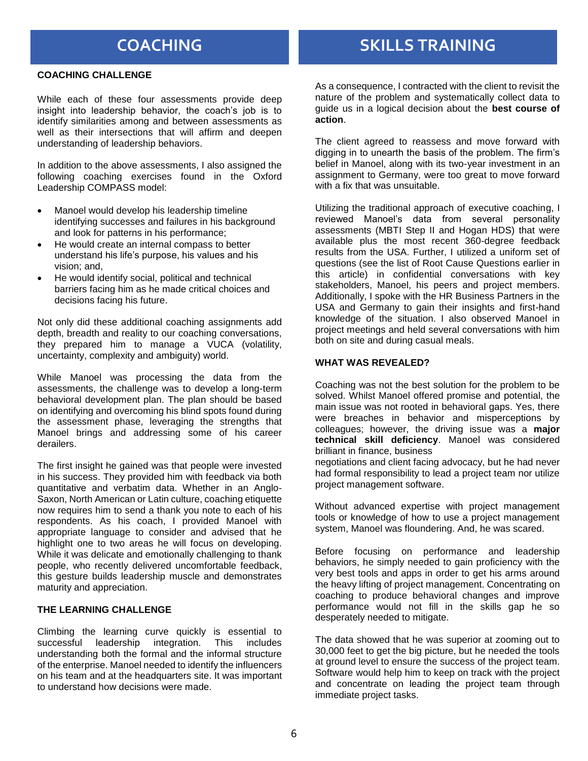### **COACHING CHALLENGE**

While each of these four assessments provide deep insight into leadership behavior, the coach's job is to identify similarities among and between assessments as well as their intersections that will affirm and deepen understanding of leadership behaviors.

In addition to the above assessments, I also assigned the following coaching exercises found in the Oxford Leadership COMPASS model:

- Manoel would develop his leadership timeline identifying successes and failures in his background and look for patterns in his performance;
- He would create an internal compass to better understand his life's purpose, his values and his vision; and,
- He would identify social, political and technical barriers facing him as he made critical choices and decisions facing his future.

Not only did these additional coaching assignments add depth, breadth and reality to our coaching conversations, they prepared him to manage a VUCA (volatility, uncertainty, complexity and ambiguity) world.

While Manoel was processing the data from the assessments, the challenge was to develop a long-term behavioral development plan. The plan should be based on identifying and overcoming his blind spots found during the assessment phase, leveraging the strengths that Manoel brings and addressing some of his career derailers.

The first insight he gained was that people were invested in his success. They provided him with feedback via both quantitative and verbatim data. Whether in an Anglo-Saxon, North American or Latin culture, coaching etiquette now requires him to send a thank you note to each of his respondents. As his coach, I provided Manoel with appropriate language to consider and advised that he highlight one to two areas he will focus on developing. While it was delicate and emotionally challenging to thank people, who recently delivered uncomfortable feedback, this gesture builds leadership muscle and demonstrates maturity and appreciation.

### **THE LEARNING CHALLENGE**

Climbing the learning curve quickly is essential to successful leadership integration. This includes understanding both the formal and the informal structure of the enterprise. Manoel needed to identify the influencers on his team and at the headquarters site. It was important to understand how decisions were made.

## **COACHING SKILLS TRAINING**

As a consequence, I contracted with the client to revisit the nature of the problem and systematically collect data to guide us in a logical decision about the **best course of action**.

The client agreed to reassess and move forward with digging in to unearth the basis of the problem. The firm's belief in Manoel, along with its two-year investment in an assignment to Germany, were too great to move forward with a fix that was unsuitable.

Utilizing the traditional approach of executive coaching, I reviewed Manoel's data from several personality assessments (MBTI Step II and Hogan HDS) that were available plus the most recent 360-degree feedback results from the USA. Further, I utilized a uniform set of questions (see the list of Root Cause Questions earlier in this article) in confidential conversations with key stakeholders, Manoel, his peers and project members. Additionally, I spoke with the HR Business Partners in the USA and Germany to gain their insights and first-hand knowledge of the situation. I also observed Manoel in project meetings and held several conversations with him both on site and during casual meals.

#### **WHAT WAS REVEALED?**

Coaching was not the best solution for the problem to be solved. Whilst Manoel offered promise and potential, the main issue was not rooted in behavioral gaps. Yes, there were breaches in behavior and misperceptions by colleagues; however, the driving issue was a **major technical skill deficiency**. Manoel was considered brilliant in finance, business

negotiations and client facing advocacy, but he had never had formal responsibility to lead a project team nor utilize project management software.

Without advanced expertise with project management tools or knowledge of how to use a project management system, Manoel was floundering. And, he was scared.

Before focusing on performance and leadership behaviors, he simply needed to gain proficiency with the very best tools and apps in order to get his arms around the heavy lifting of project management. Concentrating on coaching to produce behavioral changes and improve performance would not fill in the skills gap he so desperately needed to mitigate.

The data showed that he was superior at zooming out to 30,000 feet to get the big picture, but he needed the tools at ground level to ensure the success of the project team. Software would help him to keep on track with the project and concentrate on leading the project team through immediate project tasks.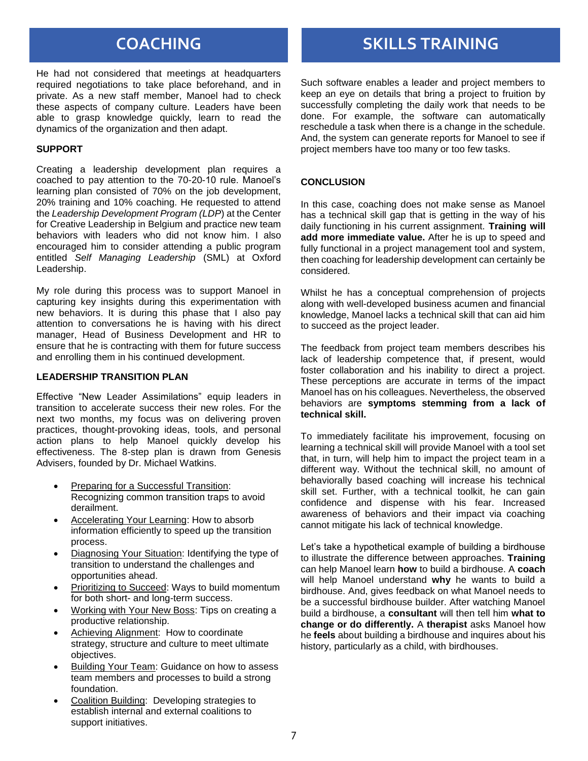He had not considered that meetings at headquarters required negotiations to take place beforehand, and in private. As a new staff member, Manoel had to check these aspects of company culture. Leaders have been able to grasp knowledge quickly, learn to read the dynamics of the organization and then adapt.

#### **SUPPORT**

Creating a leadership development plan requires a coached to pay attention to the 70-20-10 rule. Manoel's learning plan consisted of 70% on the job development, 20% training and 10% coaching. He requested to attend the *Leadership Development Program (LDP*) at the Center for Creative Leadership in Belgium and practice new team behaviors with leaders who did not know him. I also encouraged him to consider attending a public program entitled *Self Managing Leadership* (SML) at Oxford Leadership.

My role during this process was to support Manoel in capturing key insights during this experimentation with new behaviors. It is during this phase that I also pay attention to conversations he is having with his direct manager, Head of Business Development and HR to ensure that he is contracting with them for future success and enrolling them in his continued development.

### **LEADERSHIP TRANSITION PLAN**

Effective "New Leader Assimilations" equip leaders in transition to accelerate success their new roles. For the next two months, my focus was on delivering proven practices, thought-provoking ideas, tools, and personal action plans to help Manoel quickly develop his effectiveness. The 8-step plan is drawn from Genesis Advisers, founded by Dr. Michael Watkins.

- **Preparing for a Successful Transition:** Recognizing common transition traps to avoid derailment.
- Accelerating Your Learning: How to absorb information efficiently to speed up the transition process.
- Diagnosing Your Situation: Identifying the type of transition to understand the challenges and opportunities ahead.
- Prioritizing to Succeed: Ways to build momentum for both short- and long-term success.
- Working with Your New Boss: Tips on creating a productive relationship.
- Achieving Alignment: How to coordinate strategy, structure and culture to meet ultimate objectives.
- Building Your Team: Guidance on how to assess team members and processes to build a strong foundation.
- Coalition Building: Developing strategies to establish internal and external coalitions to support initiatives.

## **COACHING SKILLS TRAINING**

Such software enables a leader and project members to keep an eye on details that bring a project to fruition by successfully completing the daily work that needs to be done. For example, the software can automatically reschedule a task when there is a change in the schedule. And, the system can generate reports for Manoel to see if project members have too many or too few tasks.

#### **CONCLUSION**

In this case, coaching does not make sense as Manoel has a technical skill gap that is getting in the way of his daily functioning in his current assignment. **Training will add more immediate value.** After he is up to speed and fully functional in a project management tool and system, then coaching for leadership development can certainly be considered.

Whilst he has a conceptual comprehension of projects along with well-developed business acumen and financial knowledge, Manoel lacks a technical skill that can aid him to succeed as the project leader.

The feedback from project team members describes his lack of leadership competence that, if present, would foster collaboration and his inability to direct a project. These perceptions are accurate in terms of the impact Manoel has on his colleagues. Nevertheless, the observed behaviors are **symptoms stemming from a lack of technical skill.**

To immediately facilitate his improvement, focusing on learning a technical skill will provide Manoel with a tool set that, in turn, will help him to impact the project team in a different way. Without the technical skill, no amount of behaviorally based coaching will increase his technical skill set. Further, with a technical toolkit, he can gain confidence and dispense with his fear. Increased awareness of behaviors and their impact via coaching cannot mitigate his lack of technical knowledge.

Let's take a hypothetical example of building a birdhouse to illustrate the difference between approaches. **Training**  can help Manoel learn **how** to build a birdhouse. A **coach** will help Manoel understand **why** he wants to build a birdhouse. And, gives feedback on what Manoel needs to be a successful birdhouse builder. After watching Manoel build a birdhouse, a **consultant** will then tell him **what to change or do differently.** A **therapist** asks Manoel how he **feels** about building a birdhouse and inquires about his history, particularly as a child, with birdhouses.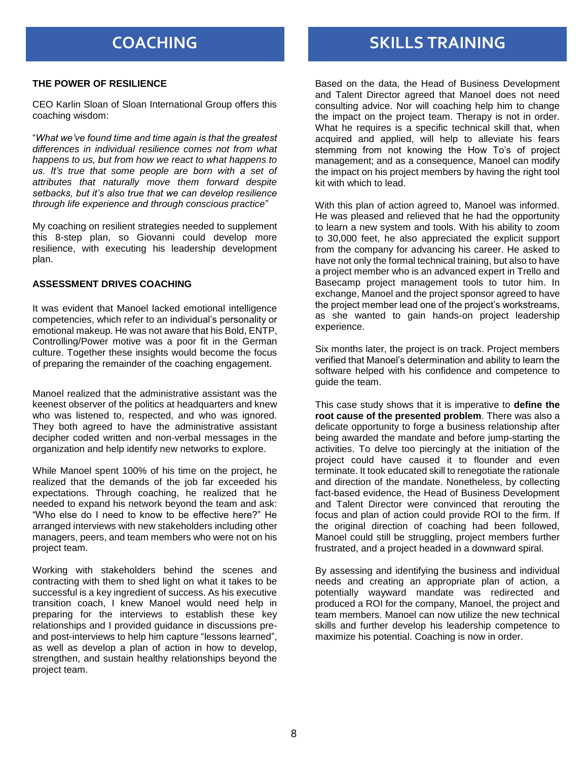## **COACHING SKILLS TRAINING**

#### **THE POWER OF RESILIENCE**

CEO Karlin Sloan of Sloan International Group offers this coaching wisdom:

"*What we've found time and time again is that the greatest differences in individual resilience comes not from what happens to us, but from how we react to what happens to us. It's true that some people are born with a set of attributes that naturally move them forward despite setbacks, but it's also true that we can develop resilience through life experience and through conscious practice*"

My coaching on resilient strategies needed to supplement this 8-step plan, so Giovanni could develop more resilience, with executing his leadership development plan.

#### **ASSESSMENT DRIVES COACHING**

It was evident that Manoel lacked emotional intelligence competencies, which refer to an individual's personality or emotional makeup. He was not aware that his Bold, ENTP, Controlling/Power motive was a poor fit in the German culture. Together these insights would become the focus of preparing the remainder of the coaching engagement.

Manoel realized that the administrative assistant was the keenest observer of the politics at headquarters and knew who was listened to, respected, and who was ignored. They both agreed to have the administrative assistant decipher coded written and non-verbal messages in the organization and help identify new networks to explore.

While Manoel spent 100% of his time on the project, he realized that the demands of the job far exceeded his expectations. Through coaching, he realized that he needed to expand his network beyond the team and ask: "Who else do I need to know to be effective here?" He arranged interviews with new stakeholders including other managers, peers, and team members who were not on his project team.

Working with stakeholders behind the scenes and contracting with them to shed light on what it takes to be successful is a key ingredient of success. As his executive transition coach, I knew Manoel would need help in preparing for the interviews to establish these key relationships and I provided guidance in discussions preand post-interviews to help him capture "lessons learned", as well as develop a plan of action in how to develop, strengthen, and sustain healthy relationships beyond the project team.

Based on the data, the Head of Business Development and Talent Director agreed that Manoel does not need consulting advice. Nor will coaching help him to change the impact on the project team. Therapy is not in order. What he requires is a specific technical skill that, when acquired and applied, will help to alleviate his fears stemming from not knowing the How To's of project management; and as a consequence, Manoel can modify the impact on his project members by having the right tool kit with which to lead.

With this plan of action agreed to, Manoel was informed. He was pleased and relieved that he had the opportunity to learn a new system and tools. With his ability to zoom to 30,000 feet, he also appreciated the explicit support from the company for advancing his career. He asked to have not only the formal technical training, but also to have a project member who is an advanced expert in Trello and Basecamp project management tools to tutor him. In exchange, Manoel and the project sponsor agreed to have the project member lead one of the project's workstreams, as she wanted to gain hands-on project leadership experience.

Six months later, the project is on track. Project members verified that Manoel's determination and ability to learn the software helped with his confidence and competence to guide the team.

This case study shows that it is imperative to **define the root cause of the presented problem**. There was also a delicate opportunity to forge a business relationship after being awarded the mandate and before jump-starting the activities. To delve too piercingly at the initiation of the project could have caused it to flounder and even terminate. It took educated skill to renegotiate the rationale and direction of the mandate. Nonetheless, by collecting fact-based evidence, the Head of Business Development and Talent Director were convinced that rerouting the focus and plan of action could provide ROI to the firm. If the original direction of coaching had been followed, Manoel could still be struggling, project members further frustrated, and a project headed in a downward spiral.

By assessing and identifying the business and individual needs and creating an appropriate plan of action, a potentially wayward mandate was redirected and produced a ROI for the company, Manoel, the project and team members. Manoel can now utilize the new technical skills and further develop his leadership competence to maximize his potential. Coaching is now in order.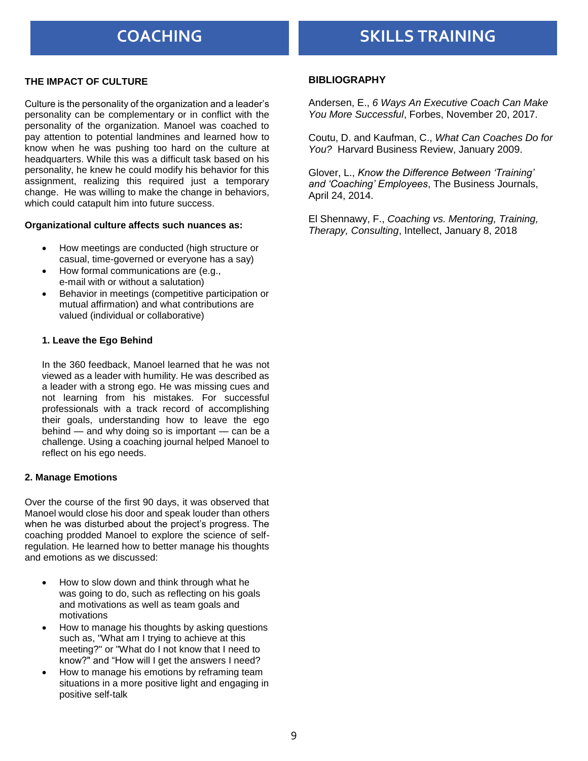### **THE IMPACT OF CULTURE**

Culture is the personality of the organization and a leader's personality can be complementary or in conflict with the personality of the organization. Manoel was coached to pay attention to potential landmines and learned how to know when he was pushing too hard on the culture at headquarters. While this was a difficult task based on his personality, he knew he could modify his behavior for this assignment, realizing this required just a temporary change. He was willing to make the change in behaviors, which could catapult him into future success.

#### **Organizational culture affects such nuances as:**

- How meetings are conducted (high structure or casual, time-governed or everyone has a say)
- How formal communications are (e.g., e-mail with or without a salutation)
- Behavior in meetings (competitive participation or mutual affirmation) and what contributions are valued (individual or collaborative)

#### **1. Leave the Ego Behind**

In the 360 feedback, Manoel learned that he was not viewed as a leader with humility. He was described as a leader with a strong ego. He was missing cues and not learning from his mistakes. For successful professionals with a track record of accomplishing their goals, understanding how to leave the ego behind — and why doing so is important — can be a challenge. Using a coaching journal helped Manoel to reflect on his ego needs.

#### **2. Manage Emotions**

Over the course of the first 90 days, it was observed that Manoel would close his door and speak louder than others when he was disturbed about the project's progress. The coaching prodded Manoel to explore the science of selfregulation. He learned how to better manage his thoughts and emotions as we discussed:

- How to slow down and think through what he was going to do, such as reflecting on his goals and motivations as well as team goals and motivations
- How to manage his thoughts by asking questions such as, "What am I trying to achieve at this meeting?" or "What do I not know that I need to know?" and "How will I get the answers I need?
- How to manage his emotions by reframing team situations in a more positive light and engaging in positive self-talk

#### **BIBLIOGRAPHY**

Andersen, E., *6 Ways An Executive Coach Can Make You More Successful*, Forbes, November 20, 2017.

Coutu, D. and Kaufman, C., *What Can Coaches Do for You?* Harvard Business Review, January 2009.

Glover, L., *Know the Difference Between 'Training' and 'Coaching' Employees*, The Business Journals, April 24, 2014.

El Shennawy, F., *Coaching vs. Mentoring, Training, Therapy, Consulting*, Intellect, January 8, 2018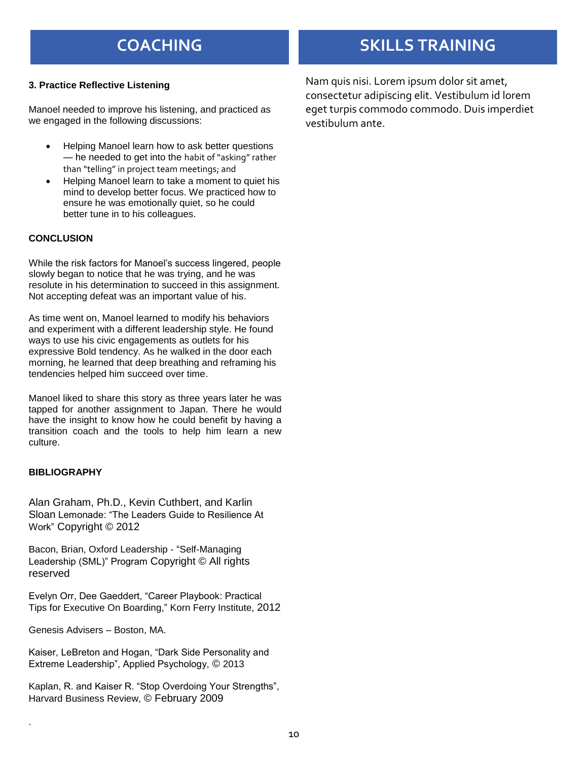### **3. Practice Reflective Listening**

Manoel needed to improve his listening, and practiced as we engaged in the following discussions:

- Helping Manoel learn how to ask better questions — he needed to get into the habit of "asking" rather than "telling" in project team meetings; and
- Helping Manoel learn to take a moment to quiet his mind to develop better focus. We practiced how to ensure he was emotionally quiet, so he could better tune in to his colleagues.

#### **CONCLUSION**

While the risk factors for Manoel's success lingered, people slowly began to notice that he was trying, and he was resolute in his determination to succeed in this assignment. Not accepting defeat was an important value of his.

As time went on, Manoel learned to modify his behaviors and experiment with a different leadership style. He found ways to use his civic engagements as outlets for his expressive Bold tendency. As he walked in the door each morning, he learned that deep breathing and reframing his tendencies helped him succeed over time.

Manoel liked to share this story as three years later he was tapped for another assignment to Japan. There he would have the insight to know how he could benefit by having a transition coach and the tools to help him learn a new culture.

#### **BIBLIOGRAPHY**

.

Alan Graham, Ph.D., Kevin Cuthbert, and Karlin Sloan Lemonade: "The Leaders Guide to Resilience At Work" Copyright © 2012

Bacon, Brian, Oxford Leadership - "Self-Managing Leadership (SML)" Program Copyright © All rights reserved

Evelyn Orr, Dee Gaeddert, "Career Playbook: Practical Tips for Executive On Boarding," Korn Ferry Institute, 2012

Genesis Advisers – Boston, MA.

Kaiser, LeBreton and Hogan, "Dark Side Personality and Extreme Leadership", Applied Psychology, © 2013

Kaplan, R. and Kaiser R. "Stop Overdoing Your Strengths", Harvard Business Review, © February 2009

## **COACHING SKILLS TRAINING**

Nam quis nisi. Lorem ipsum dolor sit amet, consectetur adipiscing elit. Vestibulum id lorem eget turpis commodo commodo. Duis imperdiet vestibulum ante.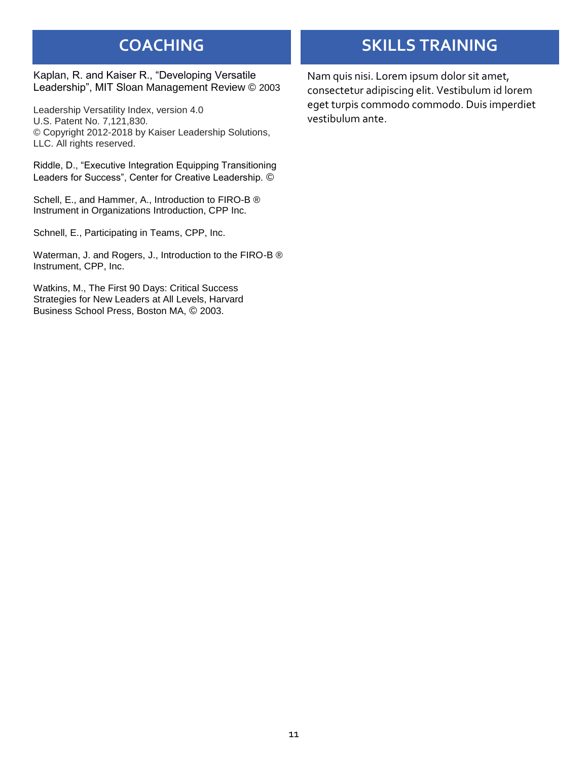Kaplan, R. and Kaiser R., "Developing Versatile Leadership", MIT Sloan Management Review © 2003

Leadership Versatility Index, version 4.0 U.S. Patent No. 7,121,830. © Copyright 2012-2018 by Kaiser Leadership Solutions, LLC. All rights reserved.

Riddle, D., "Executive Integration Equipping Transitioning Leaders for Success", Center for Creative Leadership. ©

Schell, E., and Hammer, A., Introduction to FIRO-B ® Instrument in Organizations Introduction, CPP Inc.

Schnell, E., Participating in Teams, CPP, Inc.

Waterman, J. and Rogers, J., Introduction to the FIRO-B ® Instrument, CPP, Inc.

Watkins, M., The First 90 Days: Critical Success Strategies for New Leaders at All Levels, Harvard Business School Press, Boston MA, © 2003.

## **COACHING SKILLS TRAINING**

Nam quis nisi. Lorem ipsum dolor sit amet, consectetur adipiscing elit. Vestibulum id lorem eget turpis commodo commodo. Duis imperdiet vestibulum ante.